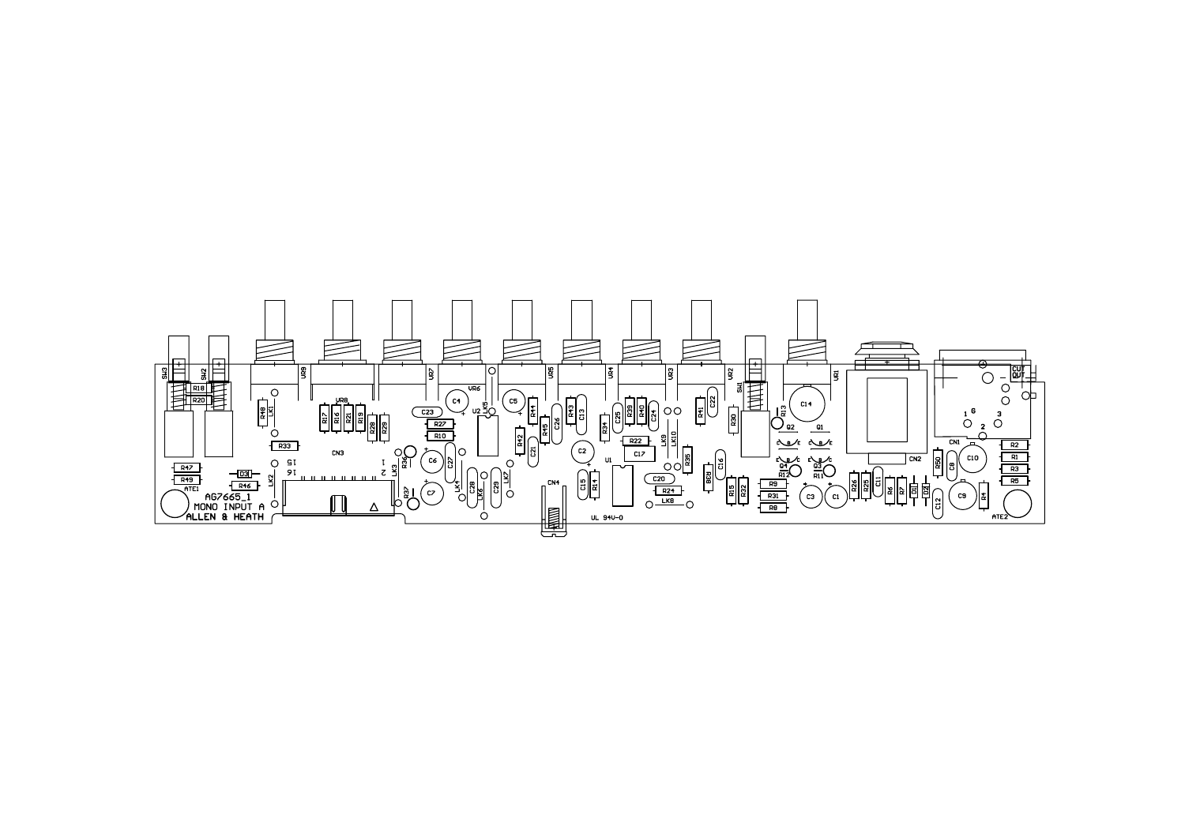